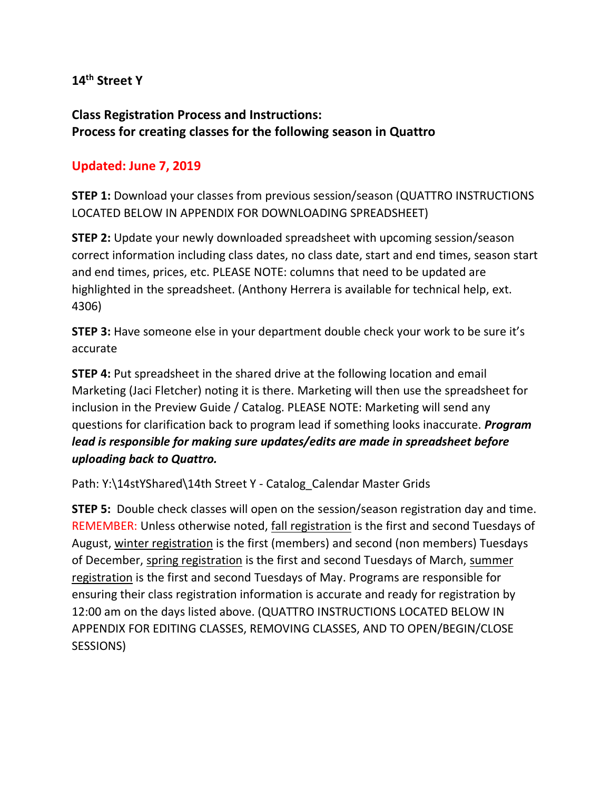## **14th Street Y**

# **Class Registration Process and Instructions: Process for creating classes for the following season in Quattro**

## **Updated: June 7, 2019**

**STEP 1:** Download your classes from previous session/season (QUATTRO INSTRUCTIONS LOCATED BELOW IN APPENDIX FOR DOWNLOADING SPREADSHEET)

**STEP 2:** Update your newly downloaded spreadsheet with upcoming session/season correct information including class dates, no class date, start and end times, season start and end times, prices, etc. PLEASE NOTE: columns that need to be updated are highlighted in the spreadsheet. (Anthony Herrera is available for technical help, ext. 4306)

**STEP 3:** Have someone else in your department double check your work to be sure it's accurate

**STEP 4:** Put spreadsheet in the shared drive at the following location and email Marketing (Jaci Fletcher) noting it is there. Marketing will then use the spreadsheet for inclusion in the Preview Guide / Catalog. PLEASE NOTE: Marketing will send any questions for clarification back to program lead if something looks inaccurate. *Program lead is responsible for making sure updates/edits are made in spreadsheet before uploading back to Quattro.*

Path: Y:\14stYShared\14th Street Y - Catalog\_Calendar Master Grids

**STEP 5:** Double check classes will open on the session/season registration day and time. REMEMBER: Unless otherwise noted, fall registration is the first and second Tuesdays of August, winter registration is the first (members) and second (non members) Tuesdays of December, spring registration is the first and second Tuesdays of March, summer registration is the first and second Tuesdays of May. Programs are responsible for ensuring their class registration information is accurate and ready for registration by 12:00 am on the days listed above. (QUATTRO INSTRUCTIONS LOCATED BELOW IN APPENDIX FOR EDITING CLASSES, REMOVING CLASSES, AND TO OPEN/BEGIN/CLOSE SESSIONS)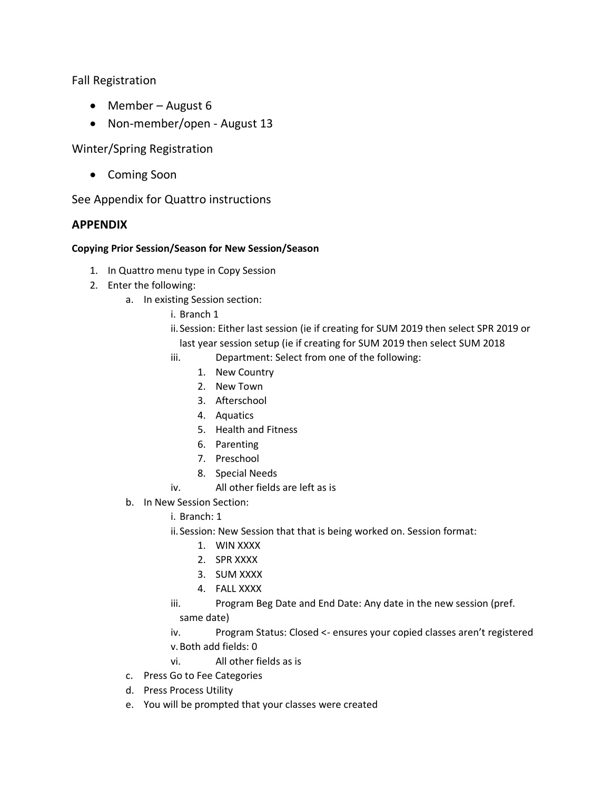Fall Registration

- Member August 6
- Non-member/open August 13

Winter/Spring Registration

• Coming Soon

See Appendix for Quattro instructions

## **APPENDIX**

### **Copying Prior Session/Season for New Session/Season**

- 1. In Quattro menu type in Copy Session
- 2. Enter the following:
	- a. In existing Session section:
		- i. Branch 1
		- ii.Session: Either last session (ie if creating for SUM 2019 then select SPR 2019 or last year session setup (ie if creating for SUM 2019 then select SUM 2018
		- iii. Department: Select from one of the following:
			- 1. New Country
			- 2. New Town
			- 3. Afterschool
			- 4. Aquatics
			- 5. Health and Fitness
			- 6. Parenting
			- 7. Preschool
			- 8. Special Needs
		- iv. All other fields are left as is
	- b. In New Session Section:
		- i. Branch: 1
		- ii.Session: New Session that that is being worked on. Session format:
			- 1. WIN XXXX
			- 2. SPR XXXX
			- 3. SUM XXXX
			- 4. FALL XXXX
		- iii. Program Beg Date and End Date: Any date in the new session (pref. same date)
		- iv. Program Status: Closed <- ensures your copied classes aren't registered v.Both add fields: 0
		- vi. All other fields as is
	- c. Press Go to Fee Categories
	- d. Press Process Utility
	- e. You will be prompted that your classes were created